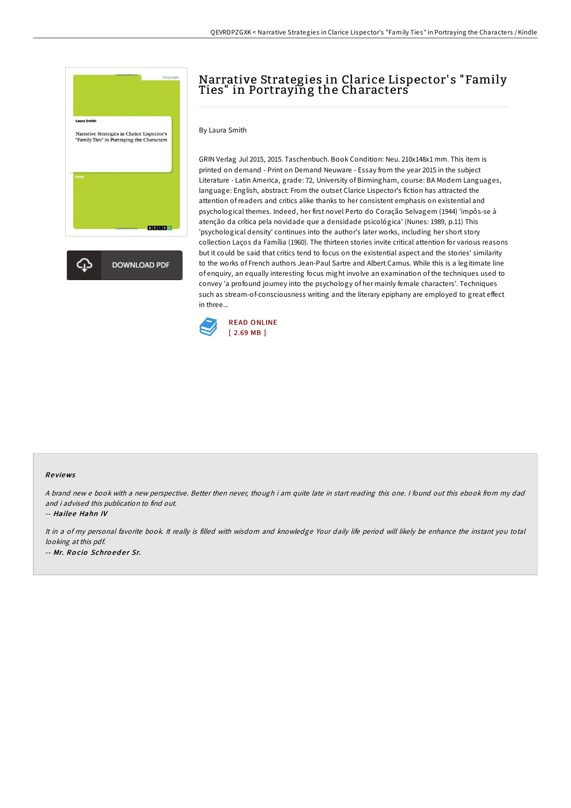

## Narrative Strategies in Clarice Lispector' s "Family Ties" in Portraying the Characters

## By Laura Smith

GRIN Verlag Jul 2015, 2015. Taschenbuch. Book Condition: Neu. 210x148x1 mm. This item is printed on demand - Print on Demand Neuware - Essay from the year 2015 in the subject Literature - Latin America, grade: 72, University of Birmingham, course: BA Modern Languages, language: English, abstract: From the outset Clarice Lispector's fiction has attracted the attention ofreaders and critics alike thanks to her consistent emphasis on existential and psychological themes. Indeed, her first novel Perto do Coração Selvagem (1944) 'impôs-se à atenção da crítica pela novidade que a densidade psicológica' (Nunes: 1989, p.11) This 'psychological density' continues into the author's later works, including her short story collection Laços da Família (1960). The thirteen stories invite critical attention for various reasons but it could be said that critics tend to focus on the existential aspect and the stories' similarity to the works of French authors Jean-Paul Sartre and Albert Camus. While this is a legitimate line of enquiry, an equally interesting focus might involve an examination of the techniques used to convey 'a profound journey into the psychology of her mainly female characters'. Techniques such as stream-of-consciousness writing and the literary epiphany are employed to great effect in three...



## Re views

<sup>A</sup> brand new <sup>e</sup> book with <sup>a</sup> new perspective. Better then never, though i am quite late in start reading this one. <sup>I</sup> found out this ebook from my dad and i advised this publication to find out.

-- Hailee Hahn IV

It in <sup>a</sup> of my personal favorite book. It really is filled with wisdom and knowledge Your daily life period will likely be enhance the instant you total looking at this pdf. -- Mr. Rocio Schroeder Sr.